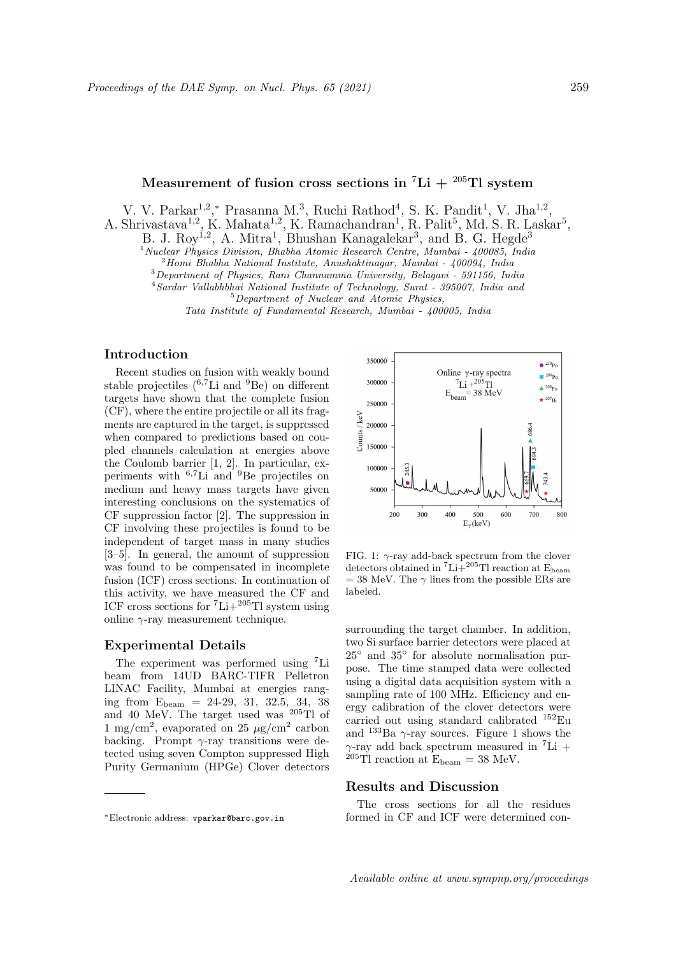# Measurement of fusion cross sections in <sup>7</sup>Li + <sup>205</sup>Tl system</sup>

V. V. Parkar<sup>1,2</sup>,\* Prasanna M.<sup>3</sup>, Ruchi Rathod<sup>4</sup>, S. K. Pandit<sup>1</sup>, V. Jha<sup>1,2</sup>,

A. Shrivastava<sup>1,2</sup>, K. Mahata<sup>1,2</sup>, K. Ramachandran<sup>1</sup>, R. Palit<sup>5</sup>, Md. S. R. Laskar<sup>5</sup>,

B. J. Roy<sup>1,2</sup>, A. Mitra<sup>1</sup>, Bhushan Kanagalekar<sup>3</sup>, and B. G. Hegde<sup>3</sup>

<sup>1</sup> Nuclear Physics Division, Bhabha Atomic Research Centre, Mumbai - 400085, India

 $^{2}$ Homi Bhabha National Institute, Anushaktinagar, Mumbai - 400094, India

<sup>3</sup>Department of Physics, Rani Channamma University, Belagavi - 591156, India

<sup>4</sup> Sardar Vallabhbhai National Institute of Technology, Surat - 395007, India and

<sup>5</sup>Department of Nuclear and Atomic Physics,

Tata Institute of Fundamental Research, Mumbai - 400005, India

## Introduction

Recent studies on fusion with weakly bound stable projectiles  $(^{6,7}Li$  and  $^9Be$ ) on different targets have shown that the complete fusion (CF), where the entire projectile or all its fragments are captured in the target, is suppressed when compared to predictions based on coupled channels calculation at energies above the Coulomb barrier [1, 2]. In particular, experiments with  ${}^{6,7}$ Li and  ${}^{9}$ Be projectiles on medium and heavy mass targets have given interesting conclusions on the systematics of CF suppression factor [2]. The suppression in CF involving these projectiles is found to be independent of target mass in many studies [3–5]. In general, the amount of suppression was found to be compensated in incomplete fusion (ICF) cross sections. In continuation of this activity, we have measured the CF and ICF cross sections for  ${}^{7}\text{Li}+{}^{205}\text{Ti}$  system using online  $\gamma$ -ray measurement technique.

### Experimental Details

The experiment was performed using <sup>7</sup>Li beam from 14UD BARC-TIFR Pelletron LINAC Facility, Mumbai at energies ranging from  $E_{\text{beam}} = 24-29, 31, 32.5, 34, 38$ and 40 MeV. The target used was <sup>205</sup>Tl of 1 mg/cm<sup>2</sup>, evaporated on 25  $\mu$ g/cm<sup>2</sup> carbon backing. Prompt  $\gamma$ -ray transitions were detected using seven Compton suppressed High Purity Germanium (HPGe) Clover detectors



FIG. 1:  $\gamma$ -ray add-back spectrum from the clover detectors obtained in  ${}^{7}\text{Li}+{}^{205}\text{T}$ l reaction at E<sub>beam</sub>  $= 38$  MeV. The  $\gamma$  lines from the possible ERs are labeled.

surrounding the target chamber. In addition, two Si surface barrier detectors were placed at 25◦ and 35◦ for absolute normalisation purpose. The time stamped data were collected using a digital data acquisition system with a sampling rate of 100 MHz. Efficiency and energy calibration of the clover detectors were carried out using standard calibrated <sup>152</sup>Eu and  $133Ba \gamma$ -ray sources. Figure 1 shows the  $\gamma$ -ray add back spectrum measured in <sup>7</sup>Li +  $^{205}$ Tl reaction at  $E_{\text{beam}} = 38 \text{ MeV}$ .

#### Results and Discussion

The cross sections for all the residues formed in CF and ICF were determined con-

<sup>∗</sup>Electronic address: vparkar@barc.gov.in